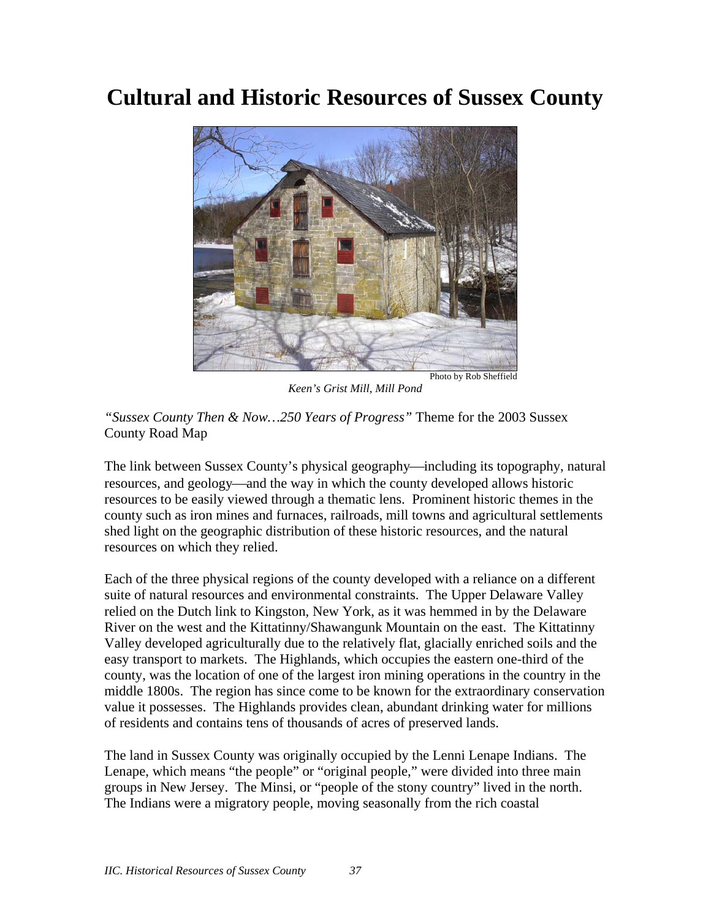# **Cultural and Historic Resources of Sussex County**



*Keen's Grist Mill, Mill Pond* 

*"Sussex County Then & Now…250 Years of Progress"* Theme for the 2003 Sussex County Road Map

The link between Sussex County's physical geography—including its topography, natural resources, and geology—and the way in which the county developed allows historic resources to be easily viewed through a thematic lens. Prominent historic themes in the county such as iron mines and furnaces, railroads, mill towns and agricultural settlements shed light on the geographic distribution of these historic resources, and the natural resources on which they relied.

Each of the three physical regions of the county developed with a reliance on a different suite of natural resources and environmental constraints. The Upper Delaware Valley relied on the Dutch link to Kingston, New York, as it was hemmed in by the Delaware River on the west and the Kittatinny/Shawangunk Mountain on the east. The Kittatinny Valley developed agriculturally due to the relatively flat, glacially enriched soils and the easy transport to markets. The Highlands, which occupies the eastern one-third of the county, was the location of one of the largest iron mining operations in the country in the middle 1800s. The region has since come to be known for the extraordinary conservation value it possesses. The Highlands provides clean, abundant drinking water for millions of residents and contains tens of thousands of acres of preserved lands.

The land in Sussex County was originally occupied by the Lenni Lenape Indians. The Lenape, which means "the people" or "original people," were divided into three main groups in New Jersey. The Minsi, or "people of the stony country" lived in the north. The Indians were a migratory people, moving seasonally from the rich coastal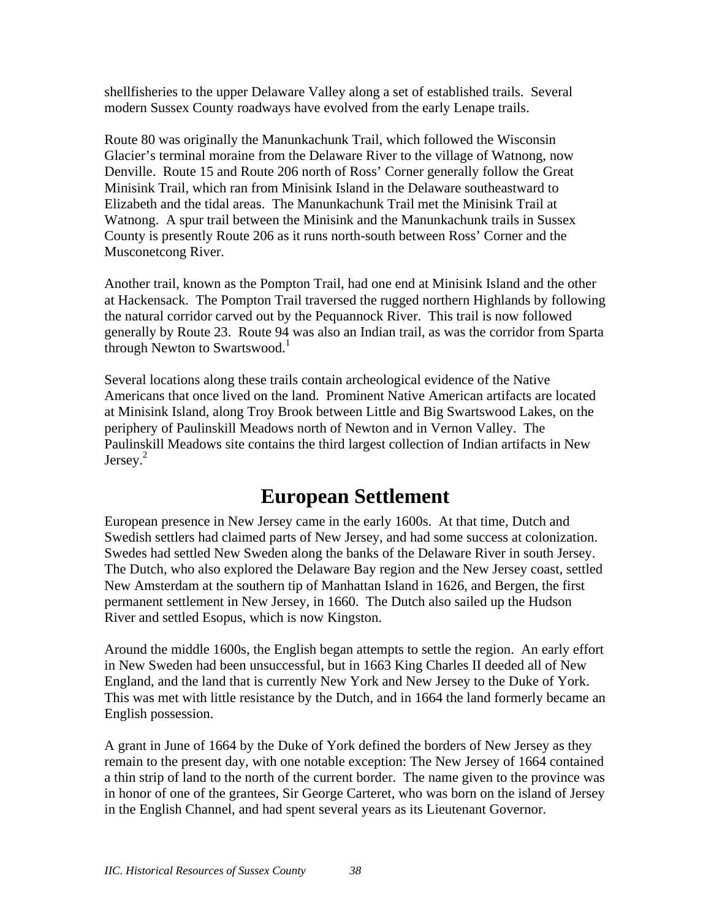shellfisheries to the upper Delaware Valley along a set of established trails. Several modern Sussex County roadways have evolved from the early Lenape trails.

Route 80 was originally the Manunkachunk Trail, which followed the Wisconsin Glacier's terminal moraine from the Delaware River to the village of Watnong, now Denville. Route 15 and Route 206 north of Ross' Corner generally follow the Great Minisink Trail, which ran from Minisink Island in the Delaware southeastward to Elizabeth and the tidal areas. The Manunkachunk Trail met the Minisink Trail at Watnong. A spur trail between the Minisink and the Manunkachunk trails in Sussex County is presently Route 206 as it runs north-south between Ross' Corner and the Musconetcong River.

Another trail, known as the Pompton Trail, had one end at Minisink Island and the other at Hackensack. The Pompton Trail traversed the rugged northern Highlands by following the natural corridor carved out by the Pequannock River. This trail is now followed generally by Route 23. Route 94 was also an Indian trail, as was the corridor from Sparta through Newton to Swartswood.<sup>1</sup>

Several locations along these trails contain archeological evidence of the Native Americans that once lived on the land. Prominent Native American artifacts are located at Minisink Island, along Troy Brook between Little and Big Swartswood Lakes, on the periphery of Paulinskill Meadows north of Newton and in Vernon Valley.The Paulinskill Meadows site contains the third largest collection of Indian artifacts in New Jersey.<sup>2</sup>

## **European Settlement**

European presence in New Jersey came in the early 1600s. At that time, Dutch and Swedish settlers had claimed parts of New Jersey, and had some success at colonization. Swedes had settled New Sweden along the banks of the Delaware River in south Jersey. The Dutch, who also explored the Delaware Bay region and the New Jersey coast, settled New Amsterdam at the southern tip of Manhattan Island in 1626, and Bergen, the first permanent settlement in New Jersey, in 1660. The Dutch also sailed up the Hudson River and settled Esopus, which is now Kingston.

Around the middle 1600s, the English began attempts to settle the region. An early effort in New Sweden had been unsuccessful, but in 1663 King Charles II deeded all of New England, and the land that is currently New York and New Jersey to the Duke of York. This was met with little resistance by the Dutch, and in 1664 the land formerly became an English possession.

A grant in June of 1664 by the Duke of York defined the borders of New Jersey as they remain to the present day, with one notable exception: The New Jersey of 1664 contained a thin strip of land to the north of the current border. The name given to the province was in honor of one of the grantees, Sir George Carteret, who was born on the island of Jersey in the English Channel, and had spent several years as its Lieutenant Governor.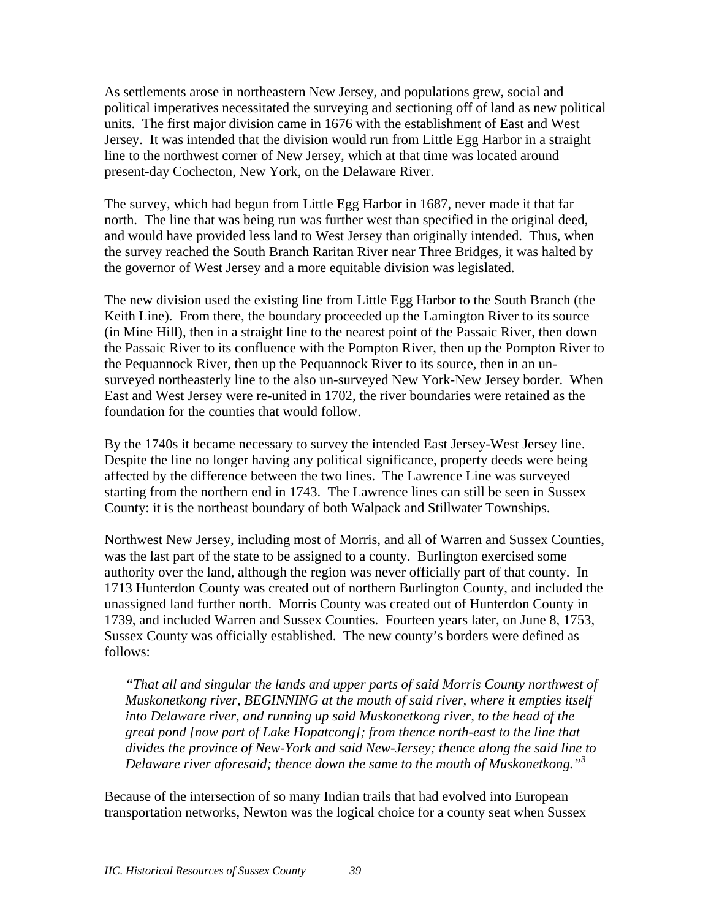As settlements arose in northeastern New Jersey, and populations grew, social and political imperatives necessitated the surveying and sectioning off of land as new political units. The first major division came in 1676 with the establishment of East and West Jersey. It was intended that the division would run from Little Egg Harbor in a straight line to the northwest corner of New Jersey, which at that time was located around present-day Cochecton, New York, on the Delaware River.

The survey, which had begun from Little Egg Harbor in 1687, never made it that far north. The line that was being run was further west than specified in the original deed, and would have provided less land to West Jersey than originally intended. Thus, when the survey reached the South Branch Raritan River near Three Bridges, it was halted by the governor of West Jersey and a more equitable division was legislated.

The new division used the existing line from Little Egg Harbor to the South Branch (the Keith Line). From there, the boundary proceeded up the Lamington River to its source (in Mine Hill), then in a straight line to the nearest point of the Passaic River, then down the Passaic River to its confluence with the Pompton River, then up the Pompton River to the Pequannock River, then up the Pequannock River to its source, then in an unsurveyed northeasterly line to the also un-surveyed New York-New Jersey border. When East and West Jersey were re-united in 1702, the river boundaries were retained as the foundation for the counties that would follow.

By the 1740s it became necessary to survey the intended East Jersey-West Jersey line. Despite the line no longer having any political significance, property deeds were being affected by the difference between the two lines. The Lawrence Line was surveyed starting from the northern end in 1743. The Lawrence lines can still be seen in Sussex County: it is the northeast boundary of both Walpack and Stillwater Townships.

Northwest New Jersey, including most of Morris, and all of Warren and Sussex Counties, was the last part of the state to be assigned to a county. Burlington exercised some authority over the land, although the region was never officially part of that county. In 1713 Hunterdon County was created out of northern Burlington County, and included the unassigned land further north. Morris County was created out of Hunterdon County in 1739, and included Warren and Sussex Counties. Fourteen years later, on June 8, 1753, Sussex County was officially established. The new county's borders were defined as follows:

*"That all and singular the lands and upper parts of said Morris County northwest of Muskonetkong river, BEGINNING at the mouth of said river, where it empties itself into Delaware river, and running up said Muskonetkong river, to the head of the great pond [now part of Lake Hopatcong]; from thence north-east to the line that divides the province of New-York and said New-Jersey; thence along the said line to Delaware river aforesaid; thence down the same to the mouth of Muskonetkong."3* 

Because of the intersection of so many Indian trails that had evolved into European transportation networks, Newton was the logical choice for a county seat when Sussex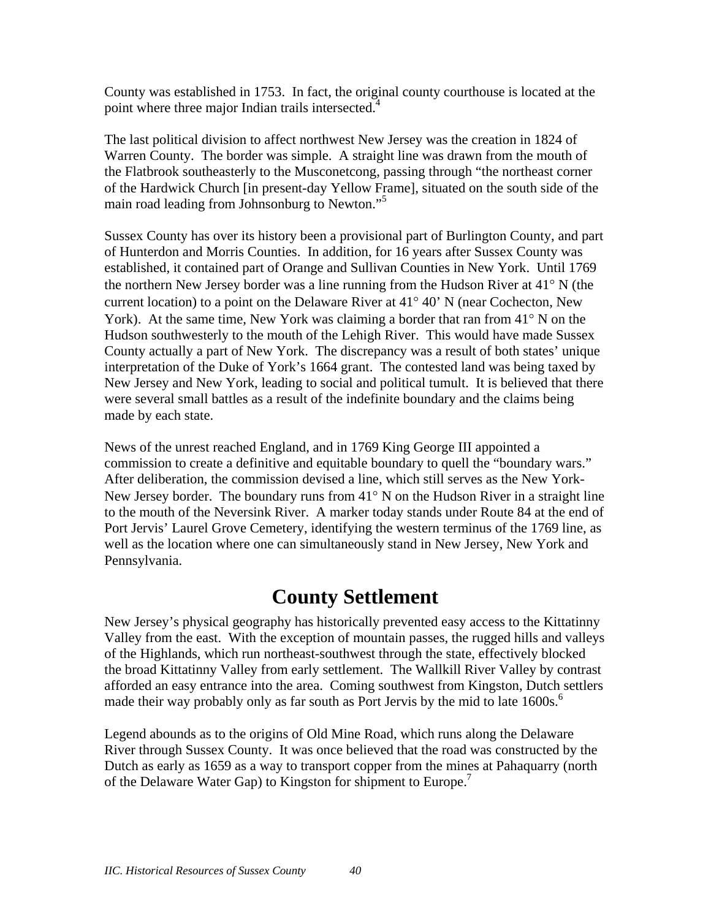County was established in 1753. In fact, the original county courthouse is located at the point where three major Indian trails intersected.<sup>4</sup>

The last political division to affect northwest New Jersey was the creation in 1824 of Warren County. The border was simple. A straight line was drawn from the mouth of the Flatbrook southeasterly to the Musconetcong, passing through "the northeast corner of the Hardwick Church [in present-day Yellow Frame], situated on the south side of the main road leading from Johnsonburg to Newton."<sup>5</sup>

Sussex County has over its history been a provisional part of Burlington County, and part of Hunterdon and Morris Counties. In addition, for 16 years after Sussex County was established, it contained part of Orange and Sullivan Counties in New York. Until 1769 the northern New Jersey border was a line running from the Hudson River at 41° N (the current location) to a point on the Delaware River at 41° 40' N (near Cochecton, New York). At the same time, New York was claiming a border that ran from 41° N on the Hudson southwesterly to the mouth of the Lehigh River. This would have made Sussex County actually a part of New York. The discrepancy was a result of both states' unique interpretation of the Duke of York's 1664 grant. The contested land was being taxed by New Jersey and New York, leading to social and political tumult. It is believed that there were several small battles as a result of the indefinite boundary and the claims being made by each state.

News of the unrest reached England, and in 1769 King George III appointed a commission to create a definitive and equitable boundary to quell the "boundary wars." After deliberation, the commission devised a line, which still serves as the New York-New Jersey border. The boundary runs from 41° N on the Hudson River in a straight line to the mouth of the Neversink River. A marker today stands under Route 84 at the end of Port Jervis' Laurel Grove Cemetery, identifying the western terminus of the 1769 line, as well as the location where one can simultaneously stand in New Jersey, New York and Pennsylvania.

#### **County Settlement**

New Jersey's physical geography has historically prevented easy access to the Kittatinny Valley from the east. With the exception of mountain passes, the rugged hills and valleys of the Highlands, which run northeast-southwest through the state, effectively blocked the broad Kittatinny Valley from early settlement. The Wallkill River Valley by contrast afforded an easy entrance into the area. Coming southwest from Kingston, Dutch settlers made their way probably only as far south as Port Jervis by the mid to late 1600s.<sup>6</sup>

Legend abounds as to the origins of Old Mine Road, which runs along the Delaware River through Sussex County. It was once believed that the road was constructed by the Dutch as early as 1659 as a way to transport copper from the mines at Pahaquarry (north of the Delaware Water Gap) to Kingston for shipment to Europe.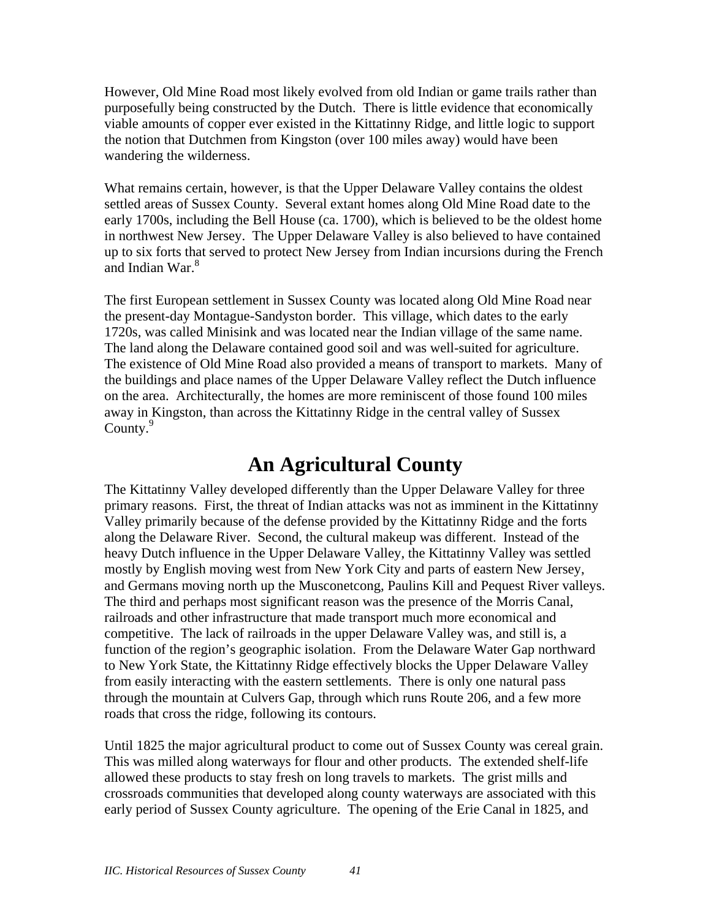However, Old Mine Road most likely evolved from old Indian or game trails rather than purposefully being constructed by the Dutch. There is little evidence that economically viable amounts of copper ever existed in the Kittatinny Ridge, and little logic to support the notion that Dutchmen from Kingston (over 100 miles away) would have been wandering the wilderness.

What remains certain, however, is that the Upper Delaware Valley contains the oldest settled areas of Sussex County. Several extant homes along Old Mine Road date to the early 1700s, including the Bell House (ca. 1700), which is believed to be the oldest home in northwest New Jersey. The Upper Delaware Valley is also believed to have contained up to six forts that served to protect New Jersey from Indian incursions during the French and Indian War.<sup>8</sup>

The first European settlement in Sussex County was located along Old Mine Road near the present-day Montague-Sandyston border. This village, which dates to the early 1720s, was called Minisink and was located near the Indian village of the same name. The land along the Delaware contained good soil and was well-suited for agriculture. The existence of Old Mine Road also provided a means of transport to markets. Many of the buildings and place names of the Upper Delaware Valley reflect the Dutch influence on the area. Architecturally, the homes are more reminiscent of those found 100 miles away in Kingston, than across the Kittatinny Ridge in the central valley of Sussex County. $9$ 

#### **An Agricultural County**

The Kittatinny Valley developed differently than the Upper Delaware Valley for three primary reasons. First, the threat of Indian attacks was not as imminent in the Kittatinny Valley primarily because of the defense provided by the Kittatinny Ridge and the forts along the Delaware River. Second, the cultural makeup was different. Instead of the heavy Dutch influence in the Upper Delaware Valley, the Kittatinny Valley was settled mostly by English moving west from New York City and parts of eastern New Jersey, and Germans moving north up the Musconetcong, Paulins Kill and Pequest River valleys. The third and perhaps most significant reason was the presence of the Morris Canal, railroads and other infrastructure that made transport much more economical and competitive. The lack of railroads in the upper Delaware Valley was, and still is, a function of the region's geographic isolation. From the Delaware Water Gap northward to New York State, the Kittatinny Ridge effectively blocks the Upper Delaware Valley from easily interacting with the eastern settlements. There is only one natural pass through the mountain at Culvers Gap, through which runs Route 206, and a few more roads that cross the ridge, following its contours.

Until 1825 the major agricultural product to come out of Sussex County was cereal grain. This was milled along waterways for flour and other products. The extended shelf-life allowed these products to stay fresh on long travels to markets. The grist mills and crossroads communities that developed along county waterways are associated with this early period of Sussex County agriculture. The opening of the Erie Canal in 1825, and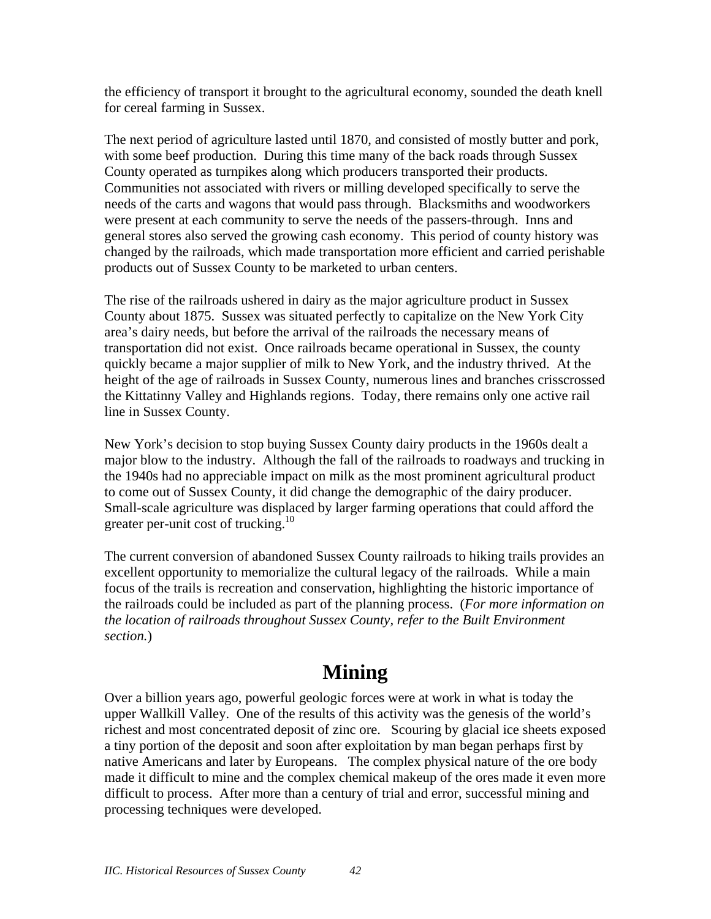the efficiency of transport it brought to the agricultural economy, sounded the death knell for cereal farming in Sussex.

The next period of agriculture lasted until 1870, and consisted of mostly butter and pork, with some beef production. During this time many of the back roads through Sussex County operated as turnpikes along which producers transported their products. Communities not associated with rivers or milling developed specifically to serve the needs of the carts and wagons that would pass through. Blacksmiths and woodworkers were present at each community to serve the needs of the passers-through. Inns and general stores also served the growing cash economy. This period of county history was changed by the railroads, which made transportation more efficient and carried perishable products out of Sussex County to be marketed to urban centers.

The rise of the railroads ushered in dairy as the major agriculture product in Sussex County about 1875. Sussex was situated perfectly to capitalize on the New York City area's dairy needs, but before the arrival of the railroads the necessary means of transportation did not exist. Once railroads became operational in Sussex, the county quickly became a major supplier of milk to New York, and the industry thrived. At the height of the age of railroads in Sussex County, numerous lines and branches crisscrossed the Kittatinny Valley and Highlands regions. Today, there remains only one active rail line in Sussex County.

New York's decision to stop buying Sussex County dairy products in the 1960s dealt a major blow to the industry. Although the fall of the railroads to roadways and trucking in the 1940s had no appreciable impact on milk as the most prominent agricultural product to come out of Sussex County, it did change the demographic of the dairy producer. Small-scale agriculture was displaced by larger farming operations that could afford the greater per-unit cost of trucking.<sup>10</sup>

The current conversion of abandoned Sussex County railroads to hiking trails provides an excellent opportunity to memorialize the cultural legacy of the railroads. While a main focus of the trails is recreation and conservation, highlighting the historic importance of the railroads could be included as part of the planning process. (*For more information on the location of railroads throughout Sussex County, refer to the Built Environment section.*)

# **Mining**

Over a billion years ago, powerful geologic forces were at work in what is today the upper Wallkill Valley. One of the results of this activity was the genesis of the world's richest and most concentrated deposit of zinc ore. Scouring by glacial ice sheets exposed a tiny portion of the deposit and soon after exploitation by man began perhaps first by native Americans and later by Europeans. The complex physical nature of the ore body made it difficult to mine and the complex chemical makeup of the ores made it even more difficult to process. After more than a century of trial and error, successful mining and processing techniques were developed.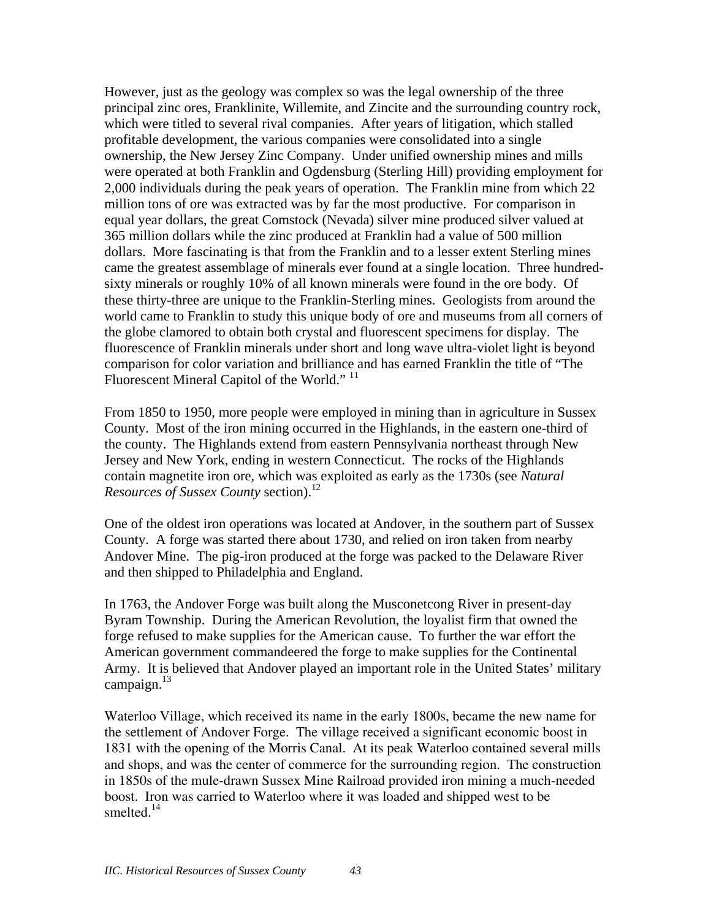However, just as the geology was complex so was the legal ownership of the three principal zinc ores, Franklinite, Willemite, and Zincite and the surrounding country rock, which were titled to several rival companies. After years of litigation, which stalled profitable development, the various companies were consolidated into a single ownership, the New Jersey Zinc Company. Under unified ownership mines and mills were operated at both Franklin and Ogdensburg (Sterling Hill) providing employment for 2,000 individuals during the peak years of operation. The Franklin mine from which 22 million tons of ore was extracted was by far the most productive. For comparison in equal year dollars, the great Comstock (Nevada) silver mine produced silver valued at 365 million dollars while the zinc produced at Franklin had a value of 500 million dollars. More fascinating is that from the Franklin and to a lesser extent Sterling mines came the greatest assemblage of minerals ever found at a single location. Three hundredsixty minerals or roughly 10% of all known minerals were found in the ore body. Of these thirty-three are unique to the Franklin-Sterling mines. Geologists from around the world came to Franklin to study this unique body of ore and museums from all corners of the globe clamored to obtain both crystal and fluorescent specimens for display. The fluorescence of Franklin minerals under short and long wave ultra-violet light is beyond comparison for color variation and brilliance and has earned Franklin the title of "The Fluorescent Mineral Capitol of the World."<sup>11</sup>

From 1850 to 1950, more people were employed in mining than in agriculture in Sussex County. Most of the iron mining occurred in the Highlands, in the eastern one-third of the county. The Highlands extend from eastern Pennsylvania northeast through New Jersey and New York, ending in western Connecticut. The rocks of the Highlands contain magnetite iron ore, which was exploited as early as the 1730s (see *Natural Resources of Sussex County section*).<sup>12</sup>

One of the oldest iron operations was located at Andover, in the southern part of Sussex County. A forge was started there about 1730, and relied on iron taken from nearby Andover Mine. The pig-iron produced at the forge was packed to the Delaware River and then shipped to Philadelphia and England.

In 1763, the Andover Forge was built along the Musconetcong River in present-day Byram Township. During the American Revolution, the loyalist firm that owned the forge refused to make supplies for the American cause. To further the war effort the American government commandeered the forge to make supplies for the Continental Army. It is believed that Andover played an important role in the United States' military campaign.<sup>13</sup>

Waterloo Village, which received its name in the early 1800s, became the new name for the settlement of Andover Forge. The village received a significant economic boost in 1831 with the opening of the Morris Canal. At its peak Waterloo contained several mills and shops, and was the center of commerce for the surrounding region. The construction in 1850s of the mule-drawn Sussex Mine Railroad provided iron mining a much-needed boost. Iron was carried to Waterloo where it was loaded and shipped west to be smelted.<sup>14</sup>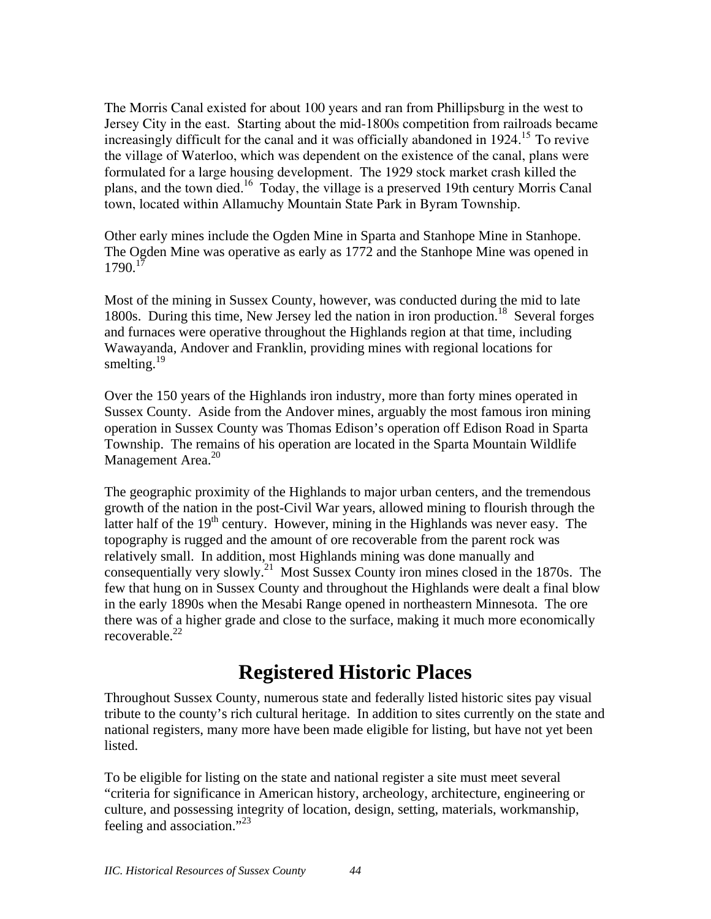The Morris Canal existed for about 100 years and ran from Phillipsburg in the west to Jersey City in the east. Starting about the mid-1800s competition from railroads became increasingly difficult for the canal and it was officially abandoned in  $1924$ <sup>15</sup>. To revive the village of Waterloo, which was dependent on the existence of the canal, plans were formulated for a large housing development. The 1929 stock market crash killed the plans, and the town died.16 Today, the village is a preserved 19th century Morris Canal town, located within Allamuchy Mountain State Park in Byram Township.

Other early mines include the Ogden Mine in Sparta and Stanhope Mine in Stanhope. The Ogden Mine was operative as early as 1772 and the Stanhope Mine was opened in 1790.17

Most of the mining in Sussex County, however, was conducted during the mid to late 1800s. During this time, New Jersey led the nation in iron production.<sup>18</sup> Several forges and furnaces were operative throughout the Highlands region at that time, including Wawayanda, Andover and Franklin, providing mines with regional locations for smelting. $^{19}$ 

Over the 150 years of the Highlands iron industry, more than forty mines operated in Sussex County. Aside from the Andover mines, arguably the most famous iron mining operation in Sussex County was Thomas Edison's operation off Edison Road in Sparta Township. The remains of his operation are located in the Sparta Mountain Wildlife Management Area.<sup>20</sup>

The geographic proximity of the Highlands to major urban centers, and the tremendous growth of the nation in the post-Civil War years, allowed mining to flourish through the latter half of the  $19<sup>th</sup>$  century. However, mining in the Highlands was never easy. The topography is rugged and the amount of ore recoverable from the parent rock was relatively small. In addition, most Highlands mining was done manually and consequentially very slowly.<sup>21</sup> Most Sussex County iron mines closed in the 1870s. The few that hung on in Sussex County and throughout the Highlands were dealt a final blow in the early 1890s when the Mesabi Range opened in northeastern Minnesota. The ore there was of a higher grade and close to the surface, making it much more economically recoverable. $22$ 

## **Registered Historic Places**

Throughout Sussex County, numerous state and federally listed historic sites pay visual tribute to the county's rich cultural heritage. In addition to sites currently on the state and national registers, many more have been made eligible for listing, but have not yet been listed.

To be eligible for listing on the state and national register a site must meet several "criteria for significance in American history, archeology, architecture, engineering or culture, and possessing integrity of location, design, setting, materials, workmanship, feeling and association."<sup>23</sup>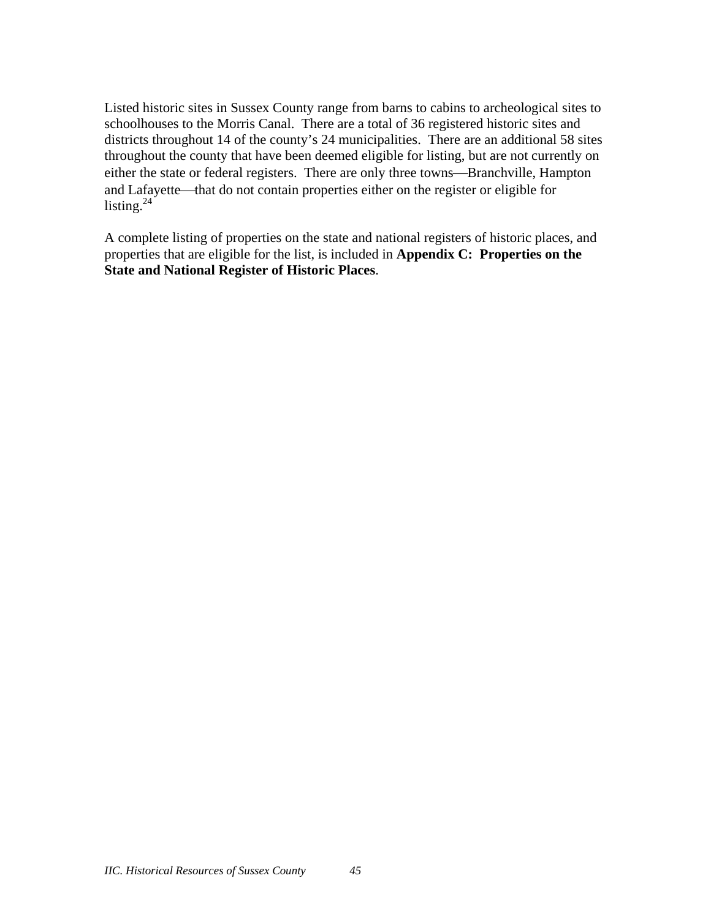Listed historic sites in Sussex County range from barns to cabins to archeological sites to schoolhouses to the Morris Canal. There are a total of 36 registered historic sites and districts throughout 14 of the county's 24 municipalities. There are an additional 58 sites throughout the county that have been deemed eligible for listing, but are not currently on either the state or federal registers. There are only three towns—Branchville, Hampton and Lafayette—that do not contain properties either on the register or eligible for listing. $^{24}$ 

A complete listing of properties on the state and national registers of historic places, and properties that are eligible for the list, is included in **Appendix C: Properties on the State and National Register of Historic Places**.